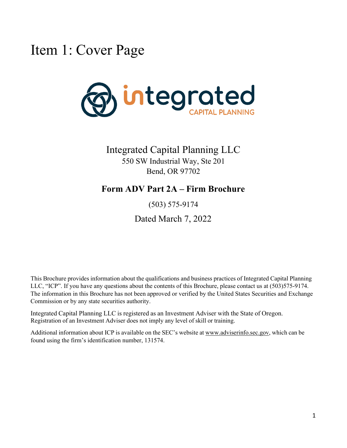## <span id="page-0-0"></span>Item 1: Cover Page



Integrated Capital Planning LLC 550 SW Industrial Way, Ste 201 Bend, OR 97702

## **Form ADV Part 2A – Firm Brochure**

(503) 575-9174

Dated March 7, 2022

This Brochure provides information about the qualifications and business practices of Integrated Capital Planning LLC, "ICP". If you have any questions about the contents of this Brochure, please contact us at (503)575-9174. The information in this Brochure has not been approved or verified by the United States Securities and Exchange Commission or by any state securities authority.

Integrated Capital Planning LLC is registered as an Investment Adviser with the State of Oregon. Registration of an Investment Adviser does not imply any level of skill or training.

Additional information about ICP is available on the SEC's website at [www.adviserinfo.sec.gov,](http://www.adviserinfo.sec.gov/) which can be found using the firm's identification number, 131574.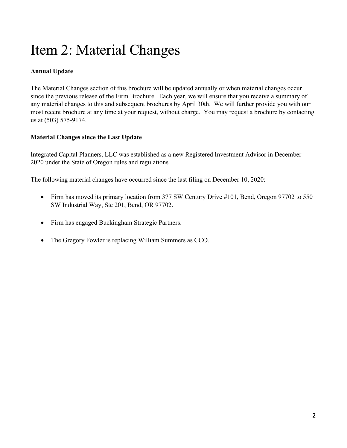# <span id="page-1-0"></span>Item 2: Material Changes

### **Annual Update**

The Material Changes section of this brochure will be updated annually or when material changes occur since the previous release of the Firm Brochure. Each year, we will ensure that you receive a summary of any material changes to this and subsequent brochures by April 30th. We will further provide you with our most recent brochure at any time at your request, without charge. You may request a brochure by contacting us at (503) 575-9174.

### **Material Changes since the Last Update**

Integrated Capital Planners, LLC was established as a new Registered Investment Advisor in December 2020 under the State of Oregon rules and regulations.

The following material changes have occurred since the last filing on December 10, 2020:

- Firm has moved its primary location from 377 SW Century Drive #101, Bend, Oregon 97702 to 550 SW Industrial Way, Ste 201, Bend, OR 97702.
- Firm has engaged Buckingham Strategic Partners.
- The Gregory Fowler is replacing William Summers as CCO.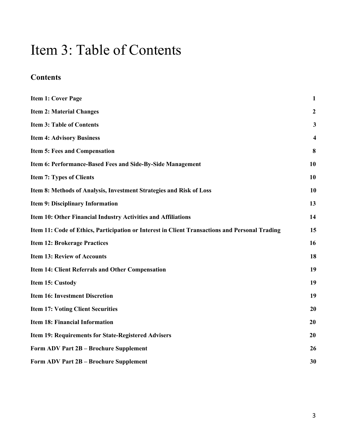## <span id="page-2-0"></span>Item 3: Table of Contents

## **Contents**

| <b>Item 1: Cover Page</b>                                                                      | $\mathbf{1}$            |
|------------------------------------------------------------------------------------------------|-------------------------|
| <b>Item 2: Material Changes</b>                                                                | $\mathbf{2}$            |
| <b>Item 3: Table of Contents</b>                                                               | $\mathbf{3}$            |
| <b>Item 4: Advisory Business</b>                                                               | $\overline{\mathbf{4}}$ |
| <b>Item 5: Fees and Compensation</b>                                                           | 8                       |
| Item 6: Performance-Based Fees and Side-By-Side Management                                     | 10                      |
| <b>Item 7: Types of Clients</b>                                                                | 10                      |
| Item 8: Methods of Analysis, Investment Strategies and Risk of Loss                            | <b>10</b>               |
| <b>Item 9: Disciplinary Information</b>                                                        | 13                      |
| Item 10: Other Financial Industry Activities and Affiliations                                  | 14                      |
| Item 11: Code of Ethics, Participation or Interest in Client Transactions and Personal Trading | 15                      |
| <b>Item 12: Brokerage Practices</b>                                                            | 16                      |
| <b>Item 13: Review of Accounts</b>                                                             | 18                      |
| Item 14: Client Referrals and Other Compensation                                               | 19                      |
| Item 15: Custody                                                                               | 19                      |
| <b>Item 16: Investment Discretion</b>                                                          | 19                      |
| <b>Item 17: Voting Client Securities</b>                                                       | 20                      |
| <b>Item 18: Financial Information</b>                                                          | 20                      |
| Item 19: Requirements for State-Registered Advisers                                            | 20                      |
| Form ADV Part 2B - Brochure Supplement                                                         | 26                      |
| Form ADV Part 2B - Brochure Supplement                                                         | 30                      |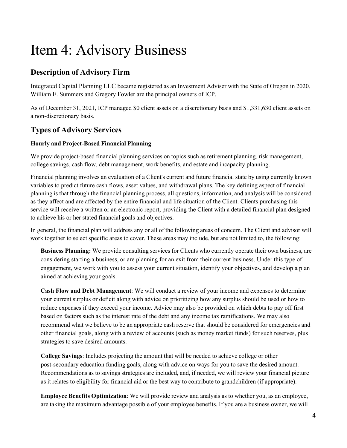## <span id="page-3-0"></span>Item 4: Advisory Business

## **Description of Advisory Firm**

Integrated Capital Planning LLC became registered as an Investment Adviser with the State of Oregon in 2020. William E. Summers and Gregory Fowler are the principal owners of ICP.

As of December 31, 2021, ICP managed \$0 client assets on a discretionary basis and \$1,331,630 client assets on a non-discretionary basis.

## **Types of Advisory Services**

### **Hourly and Project-Based Financial Planning**

We provide project-based financial planning services on topics such as retirement planning, risk management, college savings, cash flow, debt management, work benefits, and estate and incapacity planning.

Financial planning involves an evaluation of a Client's current and future financial state by using currently known variables to predict future cash flows, asset values, and withdrawal plans. The key defining aspect of financial planning is that through the financial planning process, all questions, information, and analysis will be considered as they affect and are affected by the entire financial and life situation of the Client. Clients purchasing this service will receive a written or an electronic report, providing the Client with a detailed financial plan designed to achieve his or her stated financial goals and objectives.

In general, the financial plan will address any or all of the following areas of concern. The Client and advisor will work together to select specific areas to cover. These areas may include, but are not limited to, the following:

**Business Planning:** We provide consulting services for Clients who currently operate their own business, are considering starting a business, or are planning for an exit from their current business. Under this type of engagement, we work with you to assess your current situation, identify your objectives, and develop a plan aimed at achieving your goals.

**Cash Flow and Debt Management**: We will conduct a review of your income and expenses to determine your current surplus or deficit along with advice on prioritizing how any surplus should be used or how to reduce expenses if they exceed your income. Advice may also be provided on which debts to pay off first based on factors such as the interest rate of the debt and any income tax ramifications. We may also recommend what we believe to be an appropriate cash reserve that should be considered for emergencies and other financial goals, along with a review of accounts (such as money market funds) for such reserves, plus strategies to save desired amounts.

**College Savings**: Includes projecting the amount that will be needed to achieve college or other post-secondary education funding goals, along with advice on ways for you to save the desired amount. Recommendations as to savings strategies are included, and, if needed, we will review your financial picture as it relates to eligibility for financial aid or the best way to contribute to grandchildren (if appropriate).

**Employee Benefits Optimization**: We will provide review and analysis as to whether you, as an employee, are taking the maximum advantage possible of your employee benefits. If you are a business owner, we will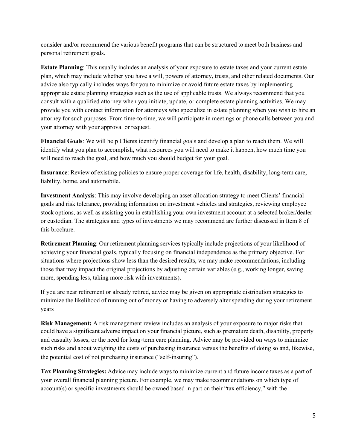consider and/or recommend the various benefit programs that can be structured to meet both business and personal retirement goals.

**Estate Planning**: This usually includes an analysis of your exposure to estate taxes and your current estate plan, which may include whether you have a will, powers of attorney, trusts, and other related documents. Our advice also typically includes ways for you to minimize or avoid future estate taxes by implementing appropriate estate planning strategies such as the use of applicable trusts. We always recommend that you consult with a qualified attorney when you initiate, update, or complete estate planning activities. We may provide you with contact information for attorneys who specialize in estate planning when you wish to hire an attorney for such purposes. From time-to-time, we will participate in meetings or phone calls between you and your attorney with your approval or request.

**Financial Goals**: We will help Clients identify financial goals and develop a plan to reach them. We will identify what you plan to accomplish, what resources you will need to make it happen, how much time you will need to reach the goal, and how much you should budget for your goal.

**Insurance**: Review of existing policies to ensure proper coverage for life, health, disability, long-term care, liability, home, and automobile.

**Investment Analysis**: This may involve developing an asset allocation strategy to meet Clients' financial goals and risk tolerance, providing information on investment vehicles and strategies, reviewing employee stock options, as well as assisting you in establishing your own investment account at a selected broker/dealer or custodian. The strategies and types of investments we may recommend are further discussed in Item 8 of this brochure.

**Retirement Planning**: Our retirement planning services typically include projections of your likelihood of achieving your financial goals, typically focusing on financial independence as the primary objective. For situations where projections show less than the desired results, we may make recommendations, including those that may impact the original projections by adjusting certain variables (e.g., working longer, saving more, spending less, taking more risk with investments).

If you are near retirement or already retired, advice may be given on appropriate distribution strategies to minimize the likelihood of running out of money or having to adversely alter spending during your retirement years

**Risk Management:** A risk management review includes an analysis of your exposure to major risks that could have a significant adverse impact on your financial picture, such as premature death, disability, property and casualty losses, or the need for long-term care planning. Advice may be provided on ways to minimize such risks and about weighing the costs of purchasing insurance versus the benefits of doing so and, likewise, the potential cost of not purchasing insurance ("self-insuring").

**Tax Planning Strategies:** Advice may include ways to minimize current and future income taxes as a part of your overall financial planning picture. For example, we may make recommendations on which type of account(s) or specific investments should be owned based in part on their "tax efficiency," with the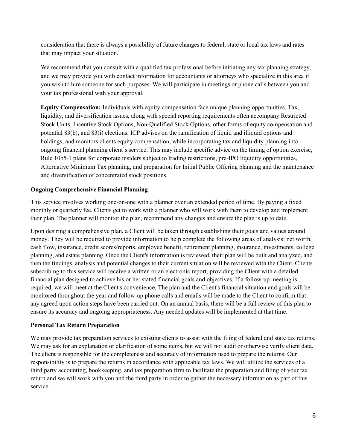consideration that there is always a possibility of future changes to federal, state or local tax laws and rates that may impact your situation.

We recommend that you consult with a qualified tax professional before initiating any tax planning strategy, and we may provide you with contact information for accountants or attorneys who specialize in this area if you wish to hire someone for such purposes. We will participate in meetings or phone calls between you and your tax professional with your approval.

**Equity Compensation:** Individuals with equity compensation face unique planning opportunities. Tax, liquidity, and diversification issues, along with special reporting requirements often accompany Restricted Stock Units, Incentive Stock Options, Non-Qualified Stock Options, other forms of equity compensation and potential 83(b), and 83(i) elections. ICP advises on the ramification of liquid and illiquid options and holdings, and monitors clients equity compensation, while incorporating tax and liquidity planning into ongoing financial planning client's service. This may include specific advice on the timing of option exercise, Rule 10b5-1 plans for corporate insiders subject to trading restrictions, pre-IPO liquidity opportunities, Alternative Minimum Tax planning, and preparation for Initial Public Offering planning and the maintenance and diversification of concentrated stock positions.

#### **Ongoing Comprehensive Financial Planning**

This service involves working one-on-one with a planner over an extended period of time. By paying a fixed monthly or quarterly fee, Clients get to work with a planner who will work with them to develop and implement their plan. The planner will monitor the plan, recommend any changes and ensure the plan is up to date.

Upon desiring a comprehensive plan, a Client will be taken through establishing their goals and values around money. They will be required to provide information to help complete the following areas of analysis: net worth, cash flow, insurance, credit scores/reports, employee benefit, retirement planning, insurance, investments, college planning, and estate planning. Once the Client's information is reviewed, their plan will be built and analyzed, and then the findings, analysis and potential changes to their current situation will be reviewed with the Client. Clients subscribing to this service will receive a written or an electronic report, providing the Client with a detailed financial plan designed to achieve his or her stated financial goals and objectives. If a follow-up meeting is required, we will meet at the Client's convenience. The plan and the Client's financial situation and goals will be monitored throughout the year and follow-up phone calls and emails will be made to the Client to confirm that any agreed upon action steps have been carried out. On an annual basis, there will be a full review of this plan to ensure its accuracy and ongoing appropriateness. Any needed updates will be implemented at that time.

#### **Personal Tax Return Preparation**

We may provide tax preparation services to existing clients to assist with the filing of federal and state tax returns. We may ask for an explanation or clarification of some items, but we will not audit or otherwise verify client data. The client is responsible for the completeness and accuracy of information used to prepare the returns. Our responsibility is to prepare the returns in accordance with applicable tax laws. We will utilize the services of a third party accounting, bookkeeping, and tax preparation firm to facilitate the preparation and filing of your tax return and we will work with you and the third party in order to gather the necessary information as part of this service.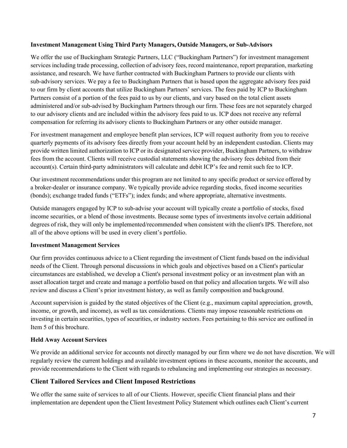#### **Investment Management Using Third Party Managers, Outside Managers, or Sub-Advisors**

We offer the use of Buckingham Strategic Partners, LLC ("Buckingham Partners") for investment management services including trade processing, collection of advisory fees, record maintenance, report preparation, marketing assistance, and research. We have further contracted with Buckingham Partners to provide our clients with sub-advisory services. We pay a fee to Buckingham Partners that is based upon the aggregate advisory fees paid to our firm by client accounts that utilize Buckingham Partners' services. The fees paid by ICP to Buckingham Partners consist of a portion of the fees paid to us by our clients, and vary based on the total client assets administered and/or sub-advised by Buckingham Partners through our firm. These fees are not separately charged to our advisory clients and are included within the advisory fees paid to us. ICP does not receive any referral compensation for referring its advisory clients to Buckingham Partners or any other outside manager.

For investment management and employee benefit plan services, ICP will request authority from you to receive quarterly payments of its advisory fees directly from your account held by an independent custodian. Clients may provide written limited authorization to ICP or its designated service provider, Buckingham Partners, to withdraw fees from the account. Clients will receive custodial statements showing the advisory fees debited from their account(s). Certain third-party administrators will calculate and debit ICP's fee and remit such fee to ICP.

Our investment recommendations under this program are not limited to any specific product or service offered by a broker-dealer or insurance company. We typically provide advice regarding stocks, fixed income securities (bonds); exchange traded funds ("ETFs"); index funds; and where appropriate, alternative investments.

Outside managers engaged by ICP to sub-advise your account will typically create a portfolio of stocks, fixed income securities, or a blend of those investments. Because some types of investments involve certain additional degrees of risk, they will only be implemented/recommended when consistent with the client's IPS. Therefore, not all of the above options will be used in every client's portfolio.

#### **Investment Management Services**

Our firm provides continuous advice to a Client regarding the investment of Client funds based on the individual needs of the Client. Through personal discussions in which goals and objectives based on a Client's particular circumstances are established, we develop a Client's personal investment policy or an investment plan with an asset allocation target and create and manage a portfolio based on that policy and allocation targets. We will also review and discuss a Client's prior investment history, as well as family composition and background.

Account supervision is guided by the stated objectives of the Client (e.g., maximum capital appreciation, growth, income, or growth, and income), as well as tax considerations. Clients may impose reasonable restrictions on investing in certain securities, types of securities, or industry sectors. Fees pertaining to this service are outlined in Item 5 of this brochure.

#### **Held Away Account Services**

We provide an additional service for accounts not directly managed by our firm where we do not have discretion. We will regularly review the current holdings and available investment options in these accounts, monitor the accounts, and provide recommendations to the Client with regards to rebalancing and implementing our strategies as necessary.

### **Client Tailored Services and Client Imposed Restrictions**

We offer the same suite of services to all of our Clients. However, specific Client financial plans and their implementation are dependent upon the Client Investment Policy Statement which outlines each Client's current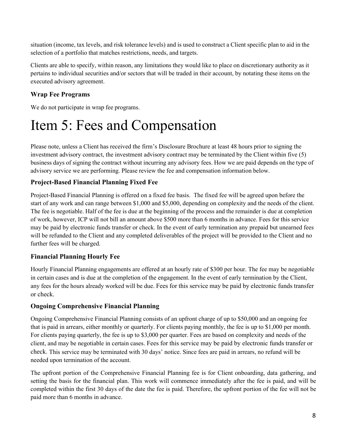situation (income, tax levels, and risk tolerance levels) and is used to construct a Client specific plan to aid in the selection of a portfolio that matches restrictions, needs, and targets.

Clients are able to specify, within reason, any limitations they would like to place on discretionary authority as it pertains to individual securities and/or sectors that will be traded in their account, by notating these items on the executed advisory agreement.

### **Wrap Fee Programs**

<span id="page-7-0"></span>We do not participate in wrap fee programs.

## Item 5: Fees and Compensation

Please note, unless a Client has received the firm's Disclosure Brochure at least 48 hours prior to signing the investment advisory contract, the investment advisory contract may be terminated by the Client within five (5) business days of signing the contract without incurring any advisory fees. How we are paid depends on the type of advisory service we are performing. Please review the fee and compensation information below.

### **Project-Based Financial Planning Fixed Fee**

Project-Based Financial Planning is offered on a fixed fee basis. The fixed fee will be agreed upon before the start of any work and can range between \$1,000 and \$5,000, depending on complexity and the needs of the client. The fee is negotiable. Half of the fee is due at the beginning of the process and the remainder is due at completion of work, however, ICP will not bill an amount above \$500 more than 6 months in advance. Fees for this service may be paid by electronic funds transfer or check. In the event of early termination any prepaid but unearned fees will be refunded to the Client and any completed deliverables of the project will be provided to the Client and no further fees will be charged.

### **Financial Planning Hourly Fee**

Hourly Financial Planning engagements are offered at an hourly rate of \$300 per hour. The fee may be negotiable in certain cases and is due at the completion of the engagement. In the event of early termination by the Client, any fees for the hours already worked will be due. Fees for this service may be paid by electronic funds transfer or check.

### **Ongoing Comprehensive Financial Planning**

Ongoing Comprehensive Financial Planning consists of an upfront charge of up to \$50,000 and an ongoing fee that is paid in arrears, either monthly or quarterly. For clients paying monthly, the fee is up to \$1,000 per month. For clients paying quarterly, the fee is up to \$3,000 per quarter. Fees are based on complexity and needs of the client, and may be negotiable in certain cases. Fees for this service may be paid by electronic funds transfer or check. This service may be terminated with 30 days' notice. Since fees are paid in arrears, no refund will be needed upon termination of the account.

The upfront portion of the Comprehensive Financial Planning fee is for Client onboarding, data gathering, and setting the basis for the financial plan. This work will commence immediately after the fee is paid, and will be completed within the first 30 days of the date the fee is paid. Therefore, the upfront portion of the fee will not be paid more than 6 months in advance.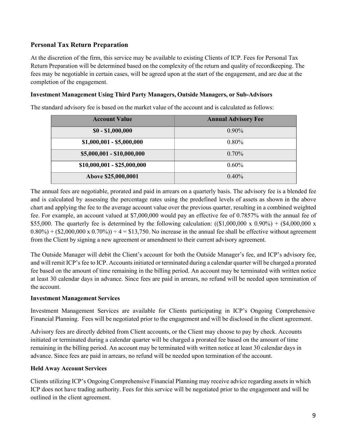#### **Personal Tax Return Preparation**

At the discretion of the firm, this service may be available to existing Clients of ICP. Fees for Personal Tax Return Preparation will be determined based on the complexity of the return and quality of recordkeeping. The fees may be negotiable in certain cases, will be agreed upon at the start of the engagement, and are due at the completion of the engagement.

#### **Investment Management Using Third Party Managers, Outside Managers, or Sub-Advisors**

The standard advisory fee is based on the market value of the account and is calculated as follows:

| <b>Account Value</b>        | <b>Annual Advisory Fee</b> |
|-----------------------------|----------------------------|
| $$0 - $1,000,000$           | $0.90\%$                   |
| $$1,000,001 - $5,000,000$   | $0.80\%$                   |
| \$5,000,001 - \$10,000,000  | 0.70%                      |
| $$10,000,001 - $25,000,000$ | $0.60\%$                   |
| Above \$25,000,0001         | $0.40\%$                   |

The annual fees are negotiable, prorated and paid in arrears on a quarterly basis. The advisory fee is a blended fee and is calculated by assessing the percentage rates using the predefined levels of assets as shown in the above chart and applying the fee to the average account value over the previous quarter, resulting in a combined weighted fee. For example, an account valued at \$7,000,000 would pay an effective fee of 0.7857% with the annual fee of \$55,000. The quarterly fee is determined by the following calculation:  $((\$1,000,000 \times 0.90\%) + (\$4,000,000 \times 0.90\%)$  $0.80\%$  + (\$2,000,000 x 0.70%))  $\div$  4 = \$13,750. No increase in the annual fee shall be effective without agreement from the Client by signing a new agreement or amendment to their current advisory agreement.

The Outside Manager will debit the Client's account for both the Outside Manager's fee, and ICP's advisory fee, and will remit ICP's fee to ICP. Accounts initiated or terminated during a calendar quarter will be charged a prorated fee based on the amount of time remaining in the billing period. An account may be terminated with written notice at least 30 calendar days in advance. Since fees are paid in arrears, no refund will be needed upon termination of the account.

#### **Investment Management Services**

Investment Management Services are available for Clients participating in ICP's Ongoing Comprehensive Financial Planning. Fees will be negotiated prior to the engagement and will be disclosed in the client agreement.

Advisory fees are directly debited from Client accounts, or the Client may choose to pay by check. Accounts initiated or terminated during a calendar quarter will be charged a prorated fee based on the amount of time remaining in the billing period. An account may be terminated with written notice at least 30 calendar days in advance. Since fees are paid in arrears, no refund will be needed upon termination of the account.

#### **Held Away Account Services**

Clients utilizing ICP's Ongoing Comprehensive Financial Planning may receive advice regarding assets in which ICP does not have trading authority. Fees for this service will be negotiated prior to the engagement and will be outlined in the client agreement.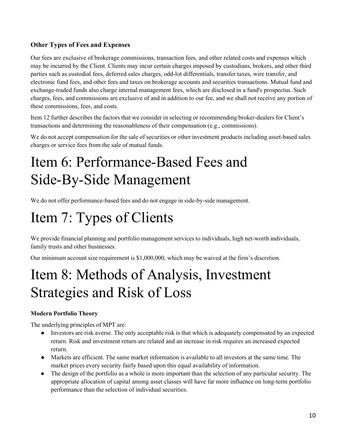### **Other Types of Fees and Expenses**

Our fees are exclusive of brokerage commissions, transaction fees, and other related costs and expenses which may be incurred by the Client. Clients may incur certain charges imposed by custodians, brokers, and other third parties such as custodial fees, deferred sales charges, odd-lot differentials, transfer taxes, wire transfer, and electronic fund fees, and other fees and taxes on brokerage accounts and securities transactions. Mutual fund and exchange-traded funds also charge internal management fees, which are disclosed in a fund's prospectus. Such charges, fees, and commissions are exclusive of and in addition to our fee, and we shall not receive any portion of these commissions, fees, and costs.

Item 12 further describes the factors that we consider in selecting or recommending broker-dealers for Client's transactions and determining the reasonableness of their compensation (e.g., commissions).

We do not accept compensation for the sale of securities or other investment products including asset-based sales charges or service fees from the sale of mutual funds.

## <span id="page-9-0"></span>Item 6: Performance-Based Fees and Side-By-Side Management

We do not offer performance-based fees and do not engage in side-by-side management.

# <span id="page-9-1"></span>Item 7: Types of Clients

We provide financial planning and portfolio management services to individuals, high net-worth individuals, family trusts and other businesses.

Our minimum account size requirement is \$1,000,000, which may be waived at the firm's discretion.

## <span id="page-9-2"></span>Item 8: Methods of Analysis, Investment Strategies and Risk of Loss

### **Modern Portfolio Theory**

The underlying principles of MPT are:

- Investors are risk averse. The only acceptable risk is that which is adequately compensated by an expected return. Risk and investment return are related and an increase in risk requires an increased expected return.
- Markets are efficient. The same market information is available to all investors at the same time. The market prices every security fairly based upon this equal availability of information.
- The design of the portfolio as a whole is more important than the selection of any particular security. The appropriate allocation of capital among asset classes will have far more influence on long-term portfolio performance than the selection of individual securities.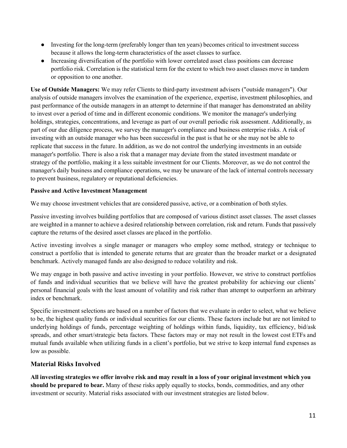- Investing for the long-term (preferably longer than ten years) becomes critical to investment success because it allows the long-term characteristics of the asset classes to surface.
- Increasing diversification of the portfolio with lower correlated asset class positions can decrease portfolio risk. Correlation is the statistical term for the extent to which two asset classes move in tandem or opposition to one another.

**Use of Outside Managers:** We may refer Clients to third-party investment advisers ("outside managers"). Our analysis of outside managers involves the examination of the experience, expertise, investment philosophies, and past performance of the outside managers in an attempt to determine if that manager has demonstrated an ability to invest over a period of time and in different economic conditions. We monitor the manager's underlying holdings, strategies, concentrations, and leverage as part of our overall periodic risk assessment. Additionally, as part of our due diligence process, we survey the manager's compliance and business enterprise risks. A risk of investing with an outside manager who has been successful in the past is that he or she may not be able to replicate that success in the future. In addition, as we do not control the underlying investments in an outside manager's portfolio. There is also a risk that a manager may deviate from the stated investment mandate or strategy of the portfolio, making it a less suitable investment for our Clients. Moreover, as we do not control the manager's daily business and compliance operations, we may be unaware of the lack of internal controls necessary to prevent business, regulatory or reputational deficiencies.

#### **Passive and Active Investment Management**

We may choose investment vehicles that are considered passive, active, or a combination of both styles.

Passive investing involves building portfolios that are composed of various distinct asset classes. The asset classes are weighted in a manner to achieve a desired relationship between correlation, risk and return. Funds that passively capture the returns of the desired asset classes are placed in the portfolio.

Active investing involves a single manager or managers who employ some method, strategy or technique to construct a portfolio that is intended to generate returns that are greater than the broader market or a designated benchmark. Actively managed funds are also designed to reduce volatility and risk.

We may engage in both passive and active investing in your portfolio. However, we strive to construct portfolios of funds and individual securities that we believe will have the greatest probability for achieving our clients' personal financial goals with the least amount of volatility and risk rather than attempt to outperform an arbitrary index or benchmark.

Specific investment selections are based on a number of factors that we evaluate in order to select, what we believe to be, the highest quality funds or individual securities for our clients. These factors include but are not limited to underlying holdings of funds, percentage weighting of holdings within funds, liquidity, tax efficiency, bid/ask spreads, and other smart/strategic beta factors. These factors may or may not result in the lowest cost ETFs and mutual funds available when utilizing funds in a client's portfolio, but we strive to keep internal fund expenses as low as possible.

### **Material Risks Involved**

All investing strategies we offer involve risk and may result in a loss of your original investment which you **should be prepared to bear.** Many of these risks apply equally to stocks, bonds, commodities, and any other investment or security. Material risks associated with our investment strategies are listed below.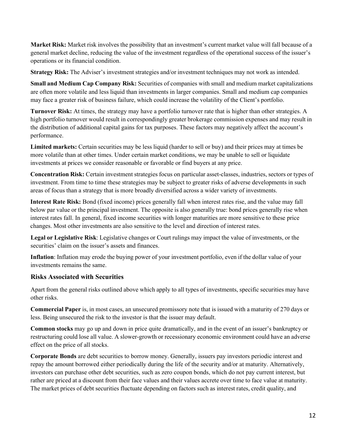**Market Risk:** Market risk involves the possibility that an investment's current market value will fall because of a general market decline, reducing the value of the investment regardless of the operational success of the issuer's operations or its financial condition.

**Strategy Risk:** The Adviser's investment strategies and/or investment techniques may not work as intended.

**Small and Medium Cap Company Risk:** Securities of companies with small and medium market capitalizations are often more volatile and less liquid than investments in larger companies. Small and medium cap companies may face a greater risk of business failure, which could increase the volatility of the Client's portfolio.

**Turnover Risk:** At times, the strategy may have a portfolio turnover rate that is higher than other strategies. A high portfolio turnover would result in correspondingly greater brokerage commission expenses and may result in the distribution of additional capital gains for tax purposes. These factors may negatively affect the account's performance.

**Limited markets:** Certain securities may be less liquid (harder to sell or buy) and their prices may at times be more volatile than at other times. Under certain market conditions, we may be unable to sell or liquidate investments at prices we consider reasonable or favorable or find buyers at any price.

**Concentration Risk:** Certain investment strategies focus on particular asset-classes, industries, sectors or types of investment. From time to time these strategies may be subject to greater risks of adverse developments in such areas of focus than a strategy that is more broadly diversified across a wider variety of investments.

**Interest Rate Risk:** Bond (fixed income) prices generally fall when interest rates rise, and the value may fall below par value or the principal investment. The opposite is also generally true: bond prices generally rise when interest rates fall. In general, fixed income securities with longer maturities are more sensitive to these price changes. Most other investments are also sensitive to the level and direction of interest rates.

**Legal or Legislative Risk**: Legislative changes or Court rulings may impact the value of investments, or the securities' claim on the issuer's assets and finances.

**Inflation**: Inflation may erode the buying power of your investment portfolio, even if the dollar value of your investments remains the same.

### **Risks Associated with Securities**

Apart from the general risks outlined above which apply to all types of investments, specific securities may have other risks.

**Commercial Paper** is, in most cases, an unsecured promissory note that is issued with a maturity of 270 days or less. Being unsecured the risk to the investor is that the issuer may default.

**Common stocks** may go up and down in price quite dramatically, and in the event of an issuer's bankruptcy or restructuring could lose all value. A slower-growth or recessionary economic environment could have an adverse effect on the price of all stocks.

**Corporate Bonds** are debt securities to borrow money. Generally, issuers pay investors periodic interest and repay the amount borrowed either periodically during the life of the security and/or at maturity. Alternatively, investors can purchase other debt securities, such as zero coupon bonds, which do not pay current interest, but rather are priced at a discount from their face values and their values accrete over time to face value at maturity. The market prices of debt securities fluctuate depending on factors such as interest rates, credit quality, and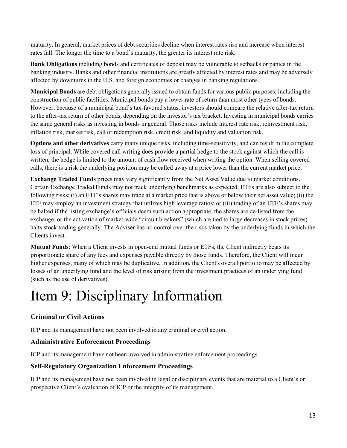maturity. In general, market prices of debt securities decline when interest rates rise and increase when interest rates fall. The longer the time to a bond's maturity, the greater its interest rate risk.

**Bank Obligations** including bonds and certificates of deposit may be vulnerable to setbacks or panics in the banking industry. Banks and other financial institutions are greatly affected by interest rates and may be adversely affected by downturns in the U.S. and foreign economies or changes in banking regulations.

**Municipal Bonds** are debt obligations generally issued to obtain funds for various public purposes, including the construction of public facilities. Municipal bonds pay a lower rate of return than most other types of bonds. However, because of a municipal bond's tax-favored status, investors should compare the relative after-tax return to the after-tax return of other bonds, depending on the investor's tax bracket. Investing in municipal bonds carries the same general risks as investing in bonds in general. Those risks include interest rate risk, reinvestment risk, inflation risk, market risk, call or redemption risk, credit risk, and liquidity and valuation risk.

**Options and other derivatives** carry many unique risks, including time-sensitivity, and can result in the complete loss of principal. While covered call writing does provide a partial hedge to the stock against which the call is written, the hedge is limited to the amount of cash flow received when writing the option. When selling covered calls, there is a risk the underlying position may be called away at a price lower than the current market price.

**Exchange Traded Funds** prices may vary significantly from the Net Asset Value due to market conditions. Certain Exchange Traded Funds may not track underlying benchmarks as expected. ETFs are also subject to the following risks: (i) an ETF's shares may trade at a market price that is above or below their net asset value; (ii) the ETF may employ an investment strategy that utilizes high leverage ratios; or (iii) trading of an ETF's shares may be halted if the listing exchange's officials deem such action appropriate, the shares are de-listed from the exchange, or the activation of market-wide "circuit breakers" (which are tied to large decreases in stock prices) halts stock trading generally. The Adviser has no control over the risks taken by the underlying funds in which the Clients invest.

**Mutual Funds**: When a Client invests in open-end mutual funds or ETFs, the Client indirectly bears its proportionate share of any fees and expenses payable directly by those funds. Therefore, the Client will incur higher expenses, many of which may be duplicative. In addition, the Client's overall portfolio may be affected by losses of an underlying fund and the level of risk arising from the investment practices of an underlying fund (such as the use of derivatives).

# <span id="page-12-0"></span>Item 9: Disciplinary Information

### **Criminal or Civil Actions**

ICP and its management have not been involved in any criminal or civil action.

### **Administrative Enforcement Proceedings**

ICP and its management have not been involved in administrative enforcement proceedings.

### **Self-Regulatory Organization Enforcement Proceedings**

ICP and its management have not been involved in legal or disciplinary events that are material to a Client's or prospective Client's evaluation of ICP or the integrity of its management.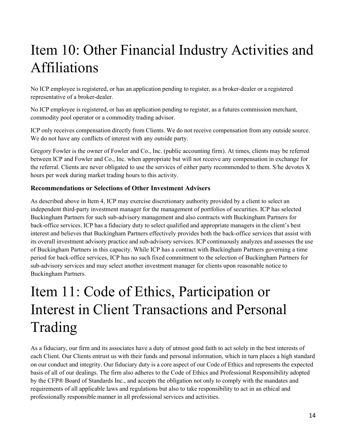# <span id="page-13-0"></span>Item 10: Other Financial Industry Activities and Affiliations

No ICP employee is registered, or has an application pending to register, as a broker-dealer or a registered representative of a broker-dealer.

No ICP employee is registered, or has an application pending to register, as a futures commission merchant, commodity pool operator or a commodity trading advisor.

ICP only receives compensation directly from Clients. We do not receive compensation from any outside source. We do not have any conflicts of interest with any outside party.

Gregory Fowler is the owner of Fowler and Co., Inc. (public accounting firm). At times, clients may be referred between ICP and Fowler and Co., Inc. when appropriate but will not receive any compensation in exchange for the referral. Clients are never obligated to use the services of either party recommended to them. S/he devotes X hours per week during market trading hours to this activity.

### **Recommendations or Selections of Other Investment Advisers**

As described above in Item 4, ICP may exercise discretionary authority provided by a client to select an independent third-party investment manager for the management of portfolios of securities. ICP has selected Buckingham Partners for such sub-advisory management and also contracts with Buckingham Partners for back-office services. ICP has a fiduciary duty to select qualified and appropriate managers in the client's best interest and believes that Buckingham Partners effectively provides both the back-office services that assist with its overall investment advisory practice and sub-advisory services. ICP continuously analyzes and assesses the use of Buckingham Partners in this capacity. While ICP has a contract with Buckingham Partners governing a time period for back-office services, ICP has no such fixed commitment to the selection of Buckingham Partners for sub-advisory services and may select another investment manager for clients upon reasonable notice to Buckingham Partners.

# <span id="page-13-1"></span>Item 11: Code of Ethics, Participation or Interest in Client Transactions and Personal Trading

As a fiduciary, our firm and its associates have a duty of utmost good faith to act solely in the best interests of each Client. Our Clients entrust us with their funds and personal information, which in turn places a high standard on our conduct and integrity. Our fiduciary duty is a core aspect of our Code of Ethics and represents the expected basis of all of our dealings. The firm also adheres to the Code of Ethics and Professional Responsibility adopted by the CFP® Board of Standards Inc., and accepts the obligation not only to comply with the mandates and requirements of all applicable laws and regulations but also to take responsibility to act in an ethical and professionally responsible manner in all professional services and activities.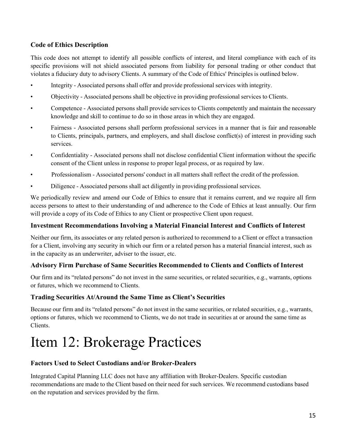### **Code of Ethics Description**

This code does not attempt to identify all possible conflicts of interest, and literal compliance with each of its specific provisions will not shield associated persons from liability for personal trading or other conduct that violates a fiduciary duty to advisory Clients. A summary of the Code of Ethics' Principles is outlined below.

- Integrity Associated persons shall offer and provide professional services with integrity.
- Objectivity Associated persons shall be objective in providing professional services to Clients.
- Competence Associated persons shall provide services to Clients competently and maintain the necessary knowledge and skill to continue to do so in those areas in which they are engaged.
- Fairness Associated persons shall perform professional services in a manner that is fair and reasonable to Clients, principals, partners, and employers, and shall disclose conflict(s) of interest in providing such services.
- Confidentiality Associated persons shall not disclose confidential Client information without the specific consent of the Client unless in response to proper legal process, or as required by law.
- Professionalism Associated persons' conduct in all matters shall reflect the credit of the profession.
- Diligence Associated persons shall act diligently in providing professional services.

We periodically review and amend our Code of Ethics to ensure that it remains current, and we require all firm access persons to attest to their understanding of and adherence to the Code of Ethics at least annually. Our firm will provide a copy of its Code of Ethics to any Client or prospective Client upon request.

### **Investment Recommendations Involving a Material Financial Interest and Conflicts of Interest**

Neither our firm, its associates or any related person is authorized to recommend to a Client or effect a transaction for a Client, involving any security in which our firm or a related person has a material financial interest, such as in the capacity as an underwriter, adviser to the issuer, etc.

### **Advisory Firm Purchase of Same Securities Recommended to Clients and Conflicts of Interest**

Our firm and its "related persons" do not invest in the same securities, or related securities, e.g., warrants, options or futures, which we recommend to Clients.

### **Trading Securities At/Around the Same Time as Client's Securities**

Because our firm and its "related persons" do not invest in the same securities, or related securities, e.g., warrants, options or futures, which we recommend to Clients, we do not trade in securities at or around the same time as Clients.

## <span id="page-14-0"></span>Item 12: Brokerage Practices

### **Factors Used to Select Custodians and/or Broker-Dealers**

Integrated Capital Planning LLC does not have any affiliation with Broker-Dealers. Specific custodian recommendations are made to the Client based on their need for such services. We recommend custodians based on the reputation and services provided by the firm.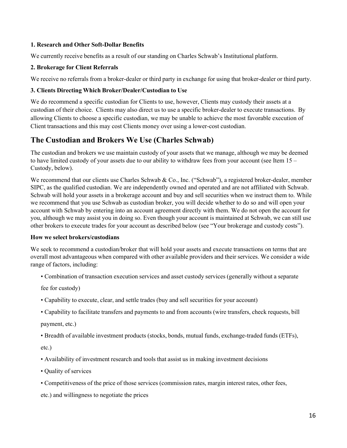#### **1. Research and Other Soft-Dollar Benefits**

We currently receive benefits as a result of our standing on Charles Schwab's Institutional platform.

#### **2. Brokerage for Client Referrals**

We receive no referrals from a broker-dealer or third party in exchange for using that broker-dealer or third party.

#### **3. Clients Directing Which Broker/Dealer/Custodian to Use**

We do recommend a specific custodian for Clients to use, however, Clients may custody their assets at a custodian of their choice. Clients may also direct us to use a specific broker-dealer to execute transactions. By allowing Clients to choose a specific custodian, we may be unable to achieve the most favorable execution of Client transactions and this may cost Clients money over using a lower-cost custodian.

### **The Custodian and Brokers We Use (Charles Schwab)**

The custodian and brokers we use maintain custody of your assets that we manage, although we may be deemed to have limited custody of your assets due to our ability to withdraw fees from your account (see Item 15 – Custody, below).

We recommend that our clients use Charles Schwab & Co., Inc. ("Schwab"), a registered broker-dealer, member SIPC, as the qualified custodian. We are independently owned and operated and are not affiliated with Schwab. Schwab will hold your assets in a brokerage account and buy and sell securities when we instruct them to. While we recommend that you use Schwab as custodian broker, you will decide whether to do so and will open your account with Schwab by entering into an account agreement directly with them. We do not open the account for you, although we may assist you in doing so. Even though your account is maintained at Schwab, we can still use other brokers to execute trades for your account as described below (see "Your brokerage and custody costs").

#### **How we select brokers/custodians**

We seek to recommend a custodian/broker that will hold your assets and execute transactions on terms that are overall most advantageous when compared with other available providers and their services. We consider a wide range of factors, including:

• Combination of transaction execution services and asset custody services (generally without a separate

fee for custody)

- Capability to execute, clear, and settle trades (buy and sell securities for your account)
- Capability to facilitate transfers and payments to and from accounts (wire transfers, check requests, bill

payment, etc.)

• Breadth of available investment products (stocks, bonds, mutual funds, exchange-traded funds (ETFs),

etc.)

- Availability of investment research and tools that assist us in making investment decisions
- Quality of services
- Competitiveness of the price of those services (commission rates, margin interest rates, other fees,

etc.) and willingness to negotiate the prices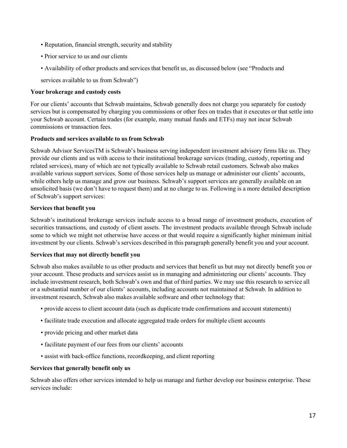- Reputation, financial strength, security and stability
- Prior service to us and our clients
- Availability of other products and services that benefit us, as discussed below (see "Products and

services available to us from Schwab")

#### **Your brokerage and custody costs**

For our clients' accounts that Schwab maintains, Schwab generally does not charge you separately for custody services but is compensated by charging you commissions or other fees on trades that it executes or that settle into your Schwab account. Certain trades (for example, many mutual funds and ETFs) may not incur Schwab commissions or transaction fees.

#### **Products and services available to us from Schwab**

Schwab Advisor ServicesTM is Schwab's business serving independent investment advisory firms like us. They provide our clients and us with access to their institutional brokerage services (trading, custody, reporting and related services), many of which are not typically available to Schwab retail customers. Schwab also makes available various support services. Some of those services help us manage or administer our clients' accounts, while others help us manage and grow our business. Schwab's support services are generally available on an unsolicited basis (we don't have to request them) and at no charge to us. Following is a more detailed description of Schwab's support services:

#### **Services that benefit you**

Schwab's institutional brokerage services include access to a broad range of investment products, execution of securities transactions, and custody of client assets. The investment products available through Schwab include some to which we might not otherwise have access or that would require a significantly higher minimum initial investment by our clients. Schwab's services described in this paragraph generally benefit you and your account.

#### **Services that may not directly benefit you**

Schwab also makes available to us other products and services that benefit us but may not directly benefit you or your account. These products and services assist us in managing and administering our clients' accounts. They include investment research, both Schwab's own and that of third parties. We may use this research to service all or a substantial number of our clients' accounts, including accounts not maintained at Schwab. In addition to investment research, Schwab also makes available software and other technology that:

- provide access to client account data (such as duplicate trade confirmations and account statements)
- facilitate trade execution and allocate aggregated trade orders for multiple client accounts
- provide pricing and other market data
- facilitate payment of our fees from our clients' accounts
- assist with back-office functions, recordkeeping, and client reporting

#### **Services that generally benefit only us**

Schwab also offers other services intended to help us manage and further develop our business enterprise. These services include: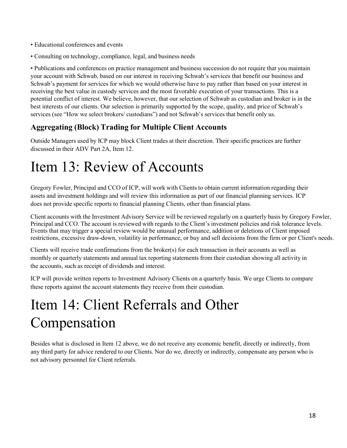- Educational conferences and events
- Consulting on technology, compliance, legal, and business needs

• Publications and conferences on practice management and business succession do not require that you maintain your account with Schwab, based on our interest in receiving Schwab's services that benefit our business and Schwab's payment for services for which we would otherwise have to pay rather than based on your interest in receiving the best value in custody services and the most favorable execution of your transactions. This is a potential conflict of interest. We believe, however, that our selection of Schwab as custodian and broker is in the best interests of our clients. Our selection is primarily supported by the scope, quality, and price of Schwab's services (see "How we select brokers/ custodians") and not Schwab's services that benefit only us.

## **Aggregating (Block) Trading for Multiple Client Accounts**

Outside Managers used by ICP may block Client trades at their discretion. Their specific practices are further discussed in their ADV Part 2A, Item 12.

## <span id="page-17-0"></span>Item 13: Review of Accounts

Gregory Fowler, Principal and CCO of ICP, will work with Clients to obtain current information regarding their assets and investment holdings and will review this information as part of our financial planning services. ICP does not provide specific reports to financial planning Clients, other than financial plans.

Client accounts with the Investment Advisory Service will be reviewed regularly on a quarterly basis by Gregory Fowler, Principal and CCO. The account is reviewed with regards to the Client's investment policies and risk tolerance levels. Events that may trigger a special review would be unusual performance, addition or deletions of Client imposed restrictions, excessive draw-down, volatility in performance, or buy and sell decisions from the firm or per Client's needs.

Clients will receive trade confirmations from the broker(s) for each transaction in their accounts as well as monthly or quarterly statements and annual tax reporting statements from their custodian showing all activity in the accounts, such as receipt of dividends and interest.

ICP will provide written reports to Investment Advisory Clients on a quarterly basis. We urge Clients to compare these reports against the account statements they receive from their custodian.

## <span id="page-17-1"></span>Item 14: Client Referrals and Other Compensation

Besides what is disclosed in Item 12 above, we do not receive any economic benefit, directly or indirectly, from any third party for advice rendered to our Clients. Nor do we, directly or indirectly, compensate any person who is not advisory personnel for Client referrals.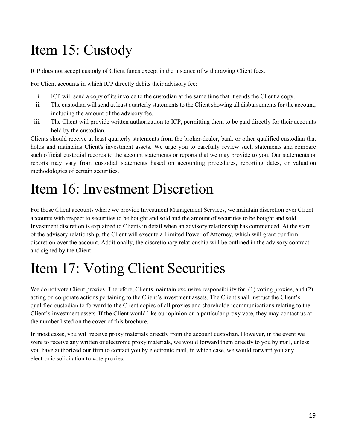# <span id="page-18-0"></span>Item 15: Custody

ICP does not accept custody of Client funds except in the instance of withdrawing Client fees.

For Client accounts in which ICP directly debits their advisory fee:

- i. ICP will send a copy of its invoice to the custodian at the same time that it sends the Client a copy.
- ii. The custodian will send at least quarterly statements to the Client showing all disbursements for the account, including the amount of the advisory fee.
- iii. The Client will provide written authorization to ICP, permitting them to be paid directly for their accounts held by the custodian.

Clients should receive at least quarterly statements from the broker-dealer, bank or other qualified custodian that holds and maintains Client's investment assets. We urge you to carefully review such statements and compare such official custodial records to the account statements or reports that we may provide to you. Our statements or reports may vary from custodial statements based on accounting procedures, reporting dates, or valuation methodologies of certain securities.

## <span id="page-18-1"></span>Item 16: Investment Discretion

For those Client accounts where we provide Investment Management Services, we maintain discretion over Client accounts with respect to securities to be bought and sold and the amount of securities to be bought and sold. Investment discretion is explained to Clients in detail when an advisory relationship has commenced. At the start of the advisory relationship, the Client will execute a Limited Power of Attorney, which will grant our firm discretion over the account. Additionally, the discretionary relationship will be outlined in the advisory contract and signed by the Client.

# <span id="page-18-2"></span>Item 17: Voting Client Securities

We do not vote Client proxies. Therefore, Clients maintain exclusive responsibility for: (1) voting proxies, and (2) acting on corporate actions pertaining to the Client's investment assets. The Client shall instruct the Client's qualified custodian to forward to the Client copies of all proxies and shareholder communications relating to the Client's investment assets. If the Client would like our opinion on a particular proxy vote, they may contact us at the number listed on the cover of this brochure.

In most cases, you will receive proxy materials directly from the account custodian. However, in the event we were to receive any written or electronic proxy materials, we would forward them directly to you by mail, unless you have authorized our firm to contact you by electronic mail, in which case, we would forward you any electronic solicitation to vote proxies.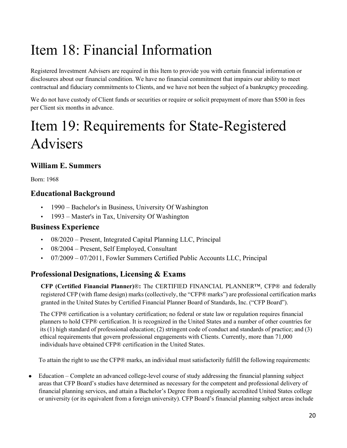# <span id="page-19-0"></span>Item 18: Financial Information

Registered Investment Advisers are required in this Item to provide you with certain financial information or disclosures about our financial condition. We have no financial commitment that impairs our ability to meet contractual and fiduciary commitments to Clients, and we have not been the subject of a bankruptcy proceeding.

We do not have custody of Client funds or securities or require or solicit prepayment of more than \$500 in fees per Client six months in advance.

# <span id="page-19-1"></span>Item 19: Requirements for State-Registered Advisers

## **William E. Summers**

Born: 1968

## **Educational Background**

- 1990 Bachelor's in Business, University Of Washington
- 1993 Master's in Tax, University Of Washington

### **Business Experience**

- 08/2020 Present, Integrated Capital Planning LLC, Principal
- 08/2004 Present, Self Employed, Consultant
- 07/2009 07/2011, Fowler Summers Certified Public Accounts LLC, Principal

## **Professional Designations, Licensing & Exams**

**CFP (Certified Financial Planner)**®**:** The CERTIFIED FINANCIAL PLANNER™, CFP® and federally registered CFP (with flame design) marks (collectively, the "CFP® marks") are professional certification marks granted in the United States by Certified Financial Planner Board of Standards, Inc. ("CFP Board").

The CFP® certification is a voluntary certification; no federal or state law or regulation requires financial planners to hold CFP® certification. It is recognized in the United States and a number of other countries for its (1) high standard of professional education; (2) stringent code of conduct and standards of practice; and (3) ethical requirements that govern professional engagements with Clients. Currently, more than 71,000 individuals have obtained CFP® certification in the United States.

To attain the right to use the CFP® marks, an individual must satisfactorily fulfill the following requirements:

• Education – Complete an advanced college-level course of study addressing the financial planning subject areas that CFP Board's studies have determined as necessary for the competent and professional delivery of financial planning services, and attain a Bachelor's Degree from a regionally accredited United States college or university (or its equivalent from a foreign university). CFP Board's financial planning subject areas include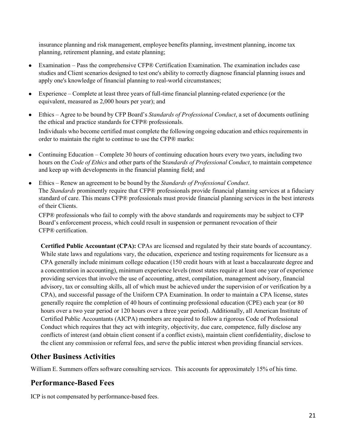insurance planning and risk management, employee benefits planning, investment planning, income tax planning, retirement planning, and estate planning;

- Examination Pass the comprehensive CFP® Certification Examination. The examination includes case studies and Client scenarios designed to test one's ability to correctly diagnose financial planning issues and apply one's knowledge of financial planning to real-world circumstances;
- Experience Complete at least three years of full-time financial planning-related experience (or the equivalent, measured as 2,000 hours per year); and
- Ethics Agree to be bound by CFP Board's *Standards of Professional Conduct*, a set of documents outlining the ethical and practice standards for CFP® professionals.

Individuals who become certified must complete the following ongoing education and ethics requirements in order to maintain the right to continue to use the CFP® marks:

- Continuing Education Complete 30 hours of continuing education hours every two years, including two hours on the *Code of Ethics* and other parts of the S*tandards of Professional Conduct*, to maintain competence and keep up with developments in the financial planning field; and
- Ethics Renew an agreement to be bound by the *Standards of Professional Conduct*. The *Standards* prominently require that CFP® professionals provide financial planning services at a fiduciary standard of care. This means CFP® professionals must provide financial planning services in the best interests of their Clients.

CFP® professionals who fail to comply with the above standards and requirements may be subject to CFP Board's enforcement process, which could result in suspension or permanent revocation of their CFP® certification.

**Certified Public Accountant (CPA):** CPAs are licensed and regulated by their state boards of accountancy. While state laws and regulations vary, the education, experience and testing requirements for licensure as a CPA generally include minimum college education (150 credit hours with at least a baccalaureate degree and a concentration in accounting), minimum experience levels (most states require at least one year of experience providing services that involve the use of accounting, attest, compilation, management advisory, financial advisory, tax or consulting skills, all of which must be achieved under the supervision of or verification by a CPA), and successful passage of the Uniform CPA Examination. In order to maintain a CPA license, states generally require the completion of 40 hours of continuing professional education (CPE) each year (or 80 hours over a two year period or 120 hours over a three year period). Additionally, all American Institute of Certified Public Accountants (AICPA) members are required to follow a rigorous Code of Professional Conduct which requires that they act with integrity, objectivity, due care, competence, fully disclose any conflicts of interest (and obtain client consent if a conflict exists), maintain client confidentiality, disclose to the client any commission or referral fees, and serve the public interest when providing financial services.

### **Other Business Activities**

William E. Summers offers software consulting services. This accounts for approximately 15% of his time.

### **Performance-Based Fees**

ICP is not compensated by performance-based fees.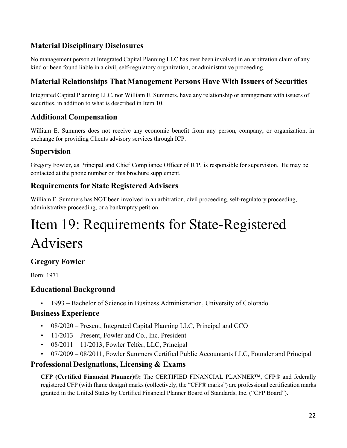## **Material Disciplinary Disclosures**

No management person at Integrated Capital Planning LLC has ever been involved in an arbitration claim of any kind or been found liable in a civil, self-regulatory organization, or administrative proceeding.

## **Material Relationships That Management Persons Have With Issuers of Securities**

Integrated Capital Planning LLC, nor William E. Summers, have any relationship or arrangement with issuers of securities, in addition to what is described in Item 10.

## **Additional Compensation**

William E. Summers does not receive any economic benefit from any person, company, or organization, in exchange for providing Clients advisory services through ICP.

### **Supervision**

Gregory Fowler, as Principal and Chief Compliance Officer of ICP, is responsible for supervision. He may be contacted at the phone number on this brochure supplement.

### **Requirements for State Registered Advisers**

William E. Summers has NOT been involved in an arbitration, civil proceeding, self-regulatory proceeding, administrative proceeding, or a bankruptcy petition.

# Item 19: Requirements for State-Registered Advisers

### **Gregory Fowler**

Born: 1971

### **Educational Background**

• 1993 – Bachelor of Science in Business Administration, University of Colorado

### **Business Experience**

- 08/2020 Present, Integrated Capital Planning LLC, Principal and CCO
- 11/2013 Present, Fowler and Co., Inc. President
- $08/2011 11/2013$ , Fowler Telfer, LLC, Principal
- 07/2009 08/2011, Fowler Summers Certified Public Accountants LLC, Founder and Principal

### **Professional Designations, Licensing & Exams**

**CFP (Certified Financial Planner)**®**:** The CERTIFIED FINANCIAL PLANNER™, CFP® and federally registered CFP (with flame design) marks (collectively, the "CFP® marks") are professional certification marks granted in the United States by Certified Financial Planner Board of Standards, Inc. ("CFP Board").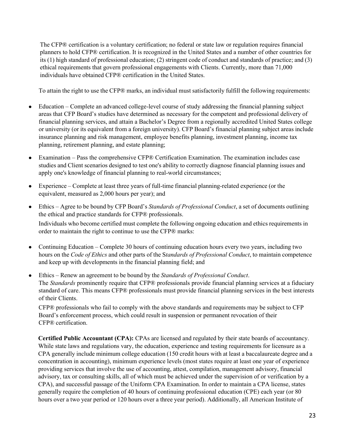The CFP® certification is a voluntary certification; no federal or state law or regulation requires financial planners to hold CFP® certification. It is recognized in the United States and a number of other countries for its (1) high standard of professional education; (2) stringent code of conduct and standards of practice; and (3) ethical requirements that govern professional engagements with Clients. Currently, more than 71,000 individuals have obtained CFP® certification in the United States.

To attain the right to use the CFP® marks, an individual must satisfactorily fulfill the following requirements:

- Education Complete an advanced college-level course of study addressing the financial planning subject areas that CFP Board's studies have determined as necessary for the competent and professional delivery of financial planning services, and attain a Bachelor's Degree from a regionally accredited United States college or university (or its equivalent from a foreign university). CFP Board's financial planning subject areas include insurance planning and risk management, employee benefits planning, investment planning, income tax planning, retirement planning, and estate planning;
- Examination Pass the comprehensive CFP® Certification Examination. The examination includes case studies and Client scenarios designed to test one's ability to correctly diagnose financial planning issues and apply one's knowledge of financial planning to real-world circumstances;
- Experience Complete at least three years of full-time financial planning-related experience (or the equivalent, measured as 2,000 hours per year); and
- Ethics Agree to be bound by CFP Board's *Standards of Professional Conduct*, a set of documents outlining the ethical and practice standards for CFP® professionals. Individuals who become certified must complete the following ongoing education and ethics requirements in order to maintain the right to continue to use the CFP® marks:
- Continuing Education Complete 30 hours of continuing education hours every two years, including two hours on the *Code of Ethics* and other parts of the S*tandards of Professional Conduct*, to maintain competence and keep up with developments in the financial planning field; and
- Ethics Renew an agreement to be bound by the *Standards of Professional Conduct*. The *Standards* prominently require that CFP® professionals provide financial planning services at a fiduciary standard of care. This means CFP® professionals must provide financial planning services in the best interests of their Clients.

CFP® professionals who fail to comply with the above standards and requirements may be subject to CFP Board's enforcement process, which could result in suspension or permanent revocation of their CFP® certification.

**Certified Public Accountant (CPA):** CPAs are licensed and regulated by their state boards of accountancy. While state laws and regulations vary, the education, experience and testing requirements for licensure as a CPA generally include minimum college education (150 credit hours with at least a baccalaureate degree and a concentration in accounting), minimum experience levels (most states require at least one year of experience providing services that involve the use of accounting, attest, compilation, management advisory, financial advisory, tax or consulting skills, all of which must be achieved under the supervision of or verification by a CPA), and successful passage of the Uniform CPA Examination. In order to maintain a CPA license, states generally require the completion of 40 hours of continuing professional education (CPE) each year (or 80 hours over a two year period or 120 hours over a three year period). Additionally, all American Institute of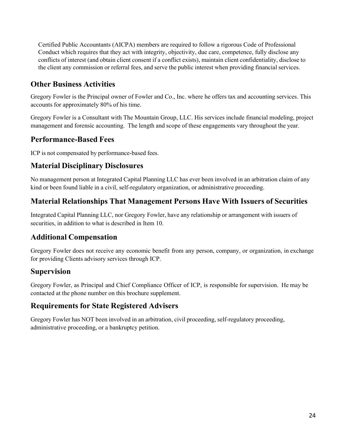Certified Public Accountants (AICPA) members are required to follow a rigorous Code of Professional Conduct which requires that they act with integrity, objectivity, due care, competence, fully disclose any conflicts of interest (and obtain client consent if a conflict exists), maintain client confidentiality, disclose to the client any commission or referral fees, and serve the public interest when providing financial services.

## **Other Business Activities**

Gregory Fowler is the Principal owner of Fowler and Co., Inc. where he offers tax and accounting services. This accounts for approximately 80% of his time.

Gregory Fowler is a Consultant with The Mountain Group, LLC. His services include financial modeling, project management and forensic accounting. The length and scope of these engagements vary throughout the year.

## **Performance-Based Fees**

ICP is not compensated by performance-based fees.

## **Material Disciplinary Disclosures**

No management person at Integrated Capital Planning LLC has ever been involved in an arbitration claim of any kind or been found liable in a civil, self-regulatory organization, or administrative proceeding.

## **Material Relationships That Management Persons Have With Issuers of Securities**

Integrated Capital Planning LLC, nor Gregory Fowler, have any relationship or arrangement with issuers of securities, in addition to what is described in Item 10.

## **Additional Compensation**

Gregory Fowler does not receive any economic benefit from any person, company, or organization, in exchange for providing Clients advisory services through ICP.

### **Supervision**

Gregory Fowler, as Principal and Chief Compliance Officer of ICP, is responsible for supervision. He may be contacted at the phone number on this brochure supplement.

### **Requirements for State Registered Advisers**

Gregory Fowler has NOT been involved in an arbitration, civil proceeding, self-regulatory proceeding, administrative proceeding, or a bankruptcy petition.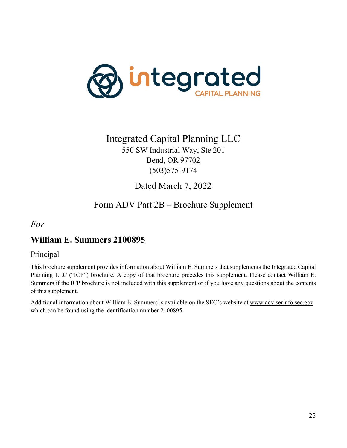

## Integrated Capital Planning LLC

550 SW Industrial Way, Ste 201 Bend, OR 97702 (503)575-9174

Dated March 7, 2022

## Form ADV Part 2B – Brochure Supplement

### <span id="page-24-0"></span>*For*

## **William E. Summers 2100895**

### Principal

This brochure supplement provides information about William E. Summers that supplements the Integrated Capital Planning LLC ("ICP") brochure. A copy of that brochure precedes this supplement. Please contact William E. Summers if the ICP brochure is not included with this supplement or if you have any questions about the contents of this supplement.

Additional information about William E. Summers is available on the SEC's website at [www.adviserinfo.sec.gov](http://www.adviserinfo.sec.gov/) which can be found using the identification number 2100895.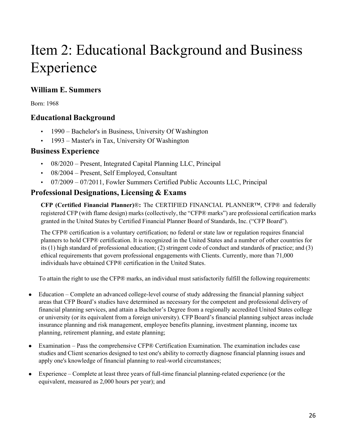# Item 2: Educational Background and Business Experience

### **William E. Summers**

Born: 1968

### **Educational Background**

- 1990 Bachelor's in Business, University Of Washington
- 1993 Master's in Tax, University Of Washington

### **Business Experience**

- 08/2020 Present, Integrated Capital Planning LLC, Principal
- 08/2004 Present, Self Employed, Consultant
- 07/2009 07/2011, Fowler Summers Certified Public Accounts LLC, Principal

## **Professional Designations, Licensing & Exams**

**CFP (Certified Financial Planner)**®**:** The CERTIFIED FINANCIAL PLANNER™, CFP® and federally registered CFP (with flame design) marks (collectively, the "CFP® marks") are professional certification marks granted in the United States by Certified Financial Planner Board of Standards, Inc. ("CFP Board").

The CFP® certification is a voluntary certification; no federal or state law or regulation requires financial planners to hold CFP® certification. It is recognized in the United States and a number of other countries for its (1) high standard of professional education; (2) stringent code of conduct and standards of practice; and (3) ethical requirements that govern professional engagements with Clients. Currently, more than 71,000 individuals have obtained CFP® certification in the United States.

To attain the right to use the CFP® marks, an individual must satisfactorily fulfill the following requirements:

- Education Complete an advanced college-level course of study addressing the financial planning subject areas that CFP Board's studies have determined as necessary for the competent and professional delivery of financial planning services, and attain a Bachelor's Degree from a regionally accredited United States college or university (or its equivalent from a foreign university). CFP Board's financial planning subject areas include insurance planning and risk management, employee benefits planning, investment planning, income tax planning, retirement planning, and estate planning;
- Examination Pass the comprehensive CFP® Certification Examination. The examination includes case studies and Client scenarios designed to test one's ability to correctly diagnose financial planning issues and apply one's knowledge of financial planning to real-world circumstances;
- Experience Complete at least three years of full-time financial planning-related experience (or the equivalent, measured as 2,000 hours per year); and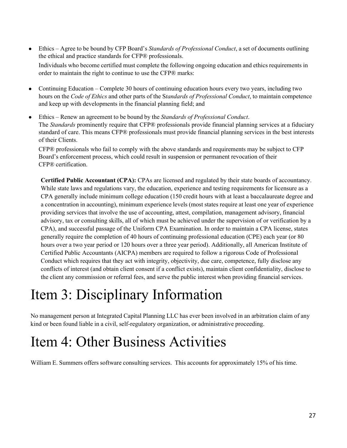- Ethics Agree to be bound by CFP Board's *Standards of Professional Conduct*, a set of documents outlining the ethical and practice standards for CFP® professionals. Individuals who become certified must complete the following ongoing education and ethics requirements in order to maintain the right to continue to use the CFP® marks:
- Continuing Education Complete 30 hours of continuing education hours every two years, including two hours on the *Code of Ethics* and other parts of the S*tandards of Professional Conduct*, to maintain competence and keep up with developments in the financial planning field; and
- Ethics Renew an agreement to be bound by the *Standards of Professional Conduct*. The *Standards* prominently require that CFP® professionals provide financial planning services at a fiduciary standard of care. This means CFP® professionals must provide financial planning services in the best interests of their Clients.

CFP® professionals who fail to comply with the above standards and requirements may be subject to CFP Board's enforcement process, which could result in suspension or permanent revocation of their CFP® certification.

**Certified Public Accountant (CPA):** CPAs are licensed and regulated by their state boards of accountancy. While state laws and regulations vary, the education, experience and testing requirements for licensure as a CPA generally include minimum college education (150 credit hours with at least a baccalaureate degree and a concentration in accounting), minimum experience levels (most states require at least one year of experience providing services that involve the use of accounting, attest, compilation, management advisory, financial advisory, tax or consulting skills, all of which must be achieved under the supervision of or verification by a CPA), and successful passage of the Uniform CPA Examination. In order to maintain a CPA license, states generally require the completion of 40 hours of continuing professional education (CPE) each year (or 80 hours over a two year period or 120 hours over a three year period). Additionally, all American Institute of Certified Public Accountants (AICPA) members are required to follow a rigorous Code of Professional Conduct which requires that they act with integrity, objectivity, due care, competence, fully disclose any conflicts of interest (and obtain client consent if a conflict exists), maintain client confidentiality, disclose to the client any commission or referral fees, and serve the public interest when providing financial services.

## Item 3: Disciplinary Information

No management person at Integrated Capital Planning LLC has ever been involved in an arbitration claim of any kind or been found liable in a civil, self-regulatory organization, or administrative proceeding.

## Item 4: Other Business Activities

William E. Summers offers software consulting services. This accounts for approximately 15% of his time.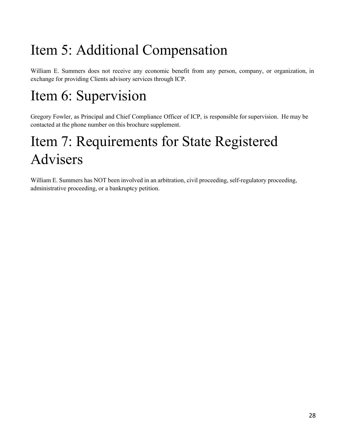# Item 5: Additional Compensation

William E. Summers does not receive any economic benefit from any person, company, or organization, in exchange for providing Clients advisory services through ICP.

# Item 6: Supervision

Gregory Fowler, as Principal and Chief Compliance Officer of ICP, is responsible for supervision. He may be contacted at the phone number on this brochure supplement.

# Item 7: Requirements for State Registered Advisers

William E. Summers has NOT been involved in an arbitration, civil proceeding, self-regulatory proceeding, administrative proceeding, or a bankruptcy petition.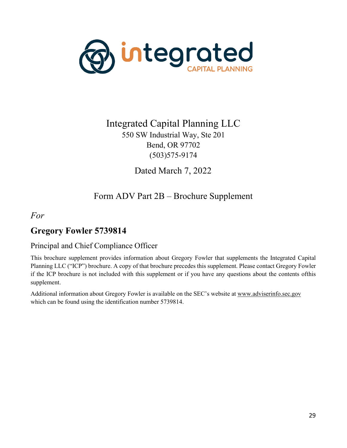

## Integrated Capital Planning LLC 550 SW Industrial Way, Ste 201 Bend, OR 97702 (503)575-9174

Dated March 7, 2022

## Form ADV Part 2B – Brochure Supplement

### <span id="page-28-0"></span>*For*

## **Gregory Fowler 5739814**

### Principal and Chief Compliance Officer

This brochure supplement provides information about Gregory Fowler that supplements the Integrated Capital Planning LLC ("ICP") brochure. A copy of that brochure precedes this supplement. Please contact Gregory Fowler if the ICP brochure is not included with this supplement or if you have any questions about the contents ofthis supplement.

Additional information about Gregory Fowler is available on the SEC's website at [www.adviserinfo.sec.gov](http://www.adviserinfo.sec.gov/) which can be found using the identification number 5739814.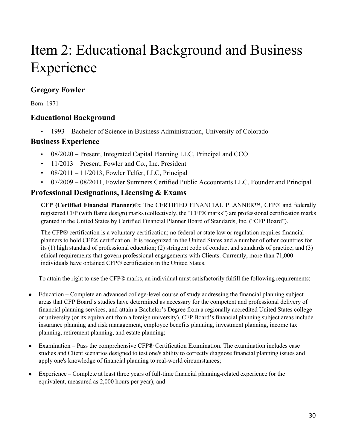# Item 2: Educational Background and Business Experience

## **Gregory Fowler**

Born: 1971

## **Educational Background**

• 1993 – Bachelor of Science in Business Administration, University of Colorado

### **Business Experience**

- 08/2020 Present, Integrated Capital Planning LLC, Principal and CCO
- $\cdot$  11/2013 Present, Fowler and Co., Inc. President
- $\cdot$  08/2011 11/2013, Fowler Telfer, LLC, Principal
- 07/2009 08/2011, Fowler Summers Certified Public Accountants LLC, Founder and Principal

## **Professional Designations, Licensing & Exams**

**CFP (Certified Financial Planner)**®**:** The CERTIFIED FINANCIAL PLANNER™, CFP® and federally registered CFP (with flame design) marks (collectively, the "CFP® marks") are professional certification marks granted in the United States by Certified Financial Planner Board of Standards, Inc. ("CFP Board").

The CFP® certification is a voluntary certification; no federal or state law or regulation requires financial planners to hold CFP® certification. It is recognized in the United States and a number of other countries for its (1) high standard of professional education; (2) stringent code of conduct and standards of practice; and (3) ethical requirements that govern professional engagements with Clients. Currently, more than 71,000 individuals have obtained CFP® certification in the United States.

To attain the right to use the CFP® marks, an individual must satisfactorily fulfill the following requirements:

- Education Complete an advanced college-level course of study addressing the financial planning subject areas that CFP Board's studies have determined as necessary for the competent and professional delivery of financial planning services, and attain a Bachelor's Degree from a regionally accredited United States college or university (or its equivalent from a foreign university). CFP Board's financial planning subject areas include insurance planning and risk management, employee benefits planning, investment planning, income tax planning, retirement planning, and estate planning;
- Examination Pass the comprehensive CFP® Certification Examination. The examination includes case studies and Client scenarios designed to test one's ability to correctly diagnose financial planning issues and apply one's knowledge of financial planning to real-world circumstances;
- Experience Complete at least three years of full-time financial planning-related experience (or the equivalent, measured as 2,000 hours per year); and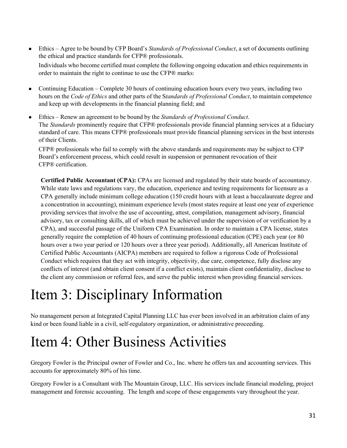- Ethics Agree to be bound by CFP Board's *Standards of Professional Conduct*, a set of documents outlining the ethical and practice standards for CFP® professionals. Individuals who become certified must complete the following ongoing education and ethics requirements in order to maintain the right to continue to use the CFP® marks:
- Continuing Education Complete 30 hours of continuing education hours every two years, including two hours on the *Code of Ethics* and other parts of the S*tandards of Professional Conduct*, to maintain competence and keep up with developments in the financial planning field; and
- Ethics Renew an agreement to be bound by the *Standards of Professional Conduct*. The *Standards* prominently require that CFP® professionals provide financial planning services at a fiduciary standard of care. This means CFP® professionals must provide financial planning services in the best interests of their Clients.

CFP® professionals who fail to comply with the above standards and requirements may be subject to CFP Board's enforcement process, which could result in suspension or permanent revocation of their CFP® certification.

**Certified Public Accountant (CPA):** CPAs are licensed and regulated by their state boards of accountancy. While state laws and regulations vary, the education, experience and testing requirements for licensure as a CPA generally include minimum college education (150 credit hours with at least a baccalaureate degree and a concentration in accounting), minimum experience levels (most states require at least one year of experience providing services that involve the use of accounting, attest, compilation, management advisory, financial advisory, tax or consulting skills, all of which must be achieved under the supervision of or verification by a CPA), and successful passage of the Uniform CPA Examination. In order to maintain a CPA license, states generally require the completion of 40 hours of continuing professional education (CPE) each year (or 80 hours over a two year period or 120 hours over a three year period). Additionally, all American Institute of Certified Public Accountants (AICPA) members are required to follow a rigorous Code of Professional Conduct which requires that they act with integrity, objectivity, due care, competence, fully disclose any conflicts of interest (and obtain client consent if a conflict exists), maintain client confidentiality, disclose to the client any commission or referral fees, and serve the public interest when providing financial services.

## Item 3: Disciplinary Information

No management person at Integrated Capital Planning LLC has ever been involved in an arbitration claim of any kind or been found liable in a civil, self-regulatory organization, or administrative proceeding.

## Item 4: Other Business Activities

Gregory Fowler is the Principal owner of Fowler and Co., Inc. where he offers tax and accounting services. This accounts for approximately 80% of his time.

Gregory Fowler is a Consultant with The Mountain Group, LLC. His services include financial modeling, project management and forensic accounting. The length and scope of these engagements vary throughout the year.